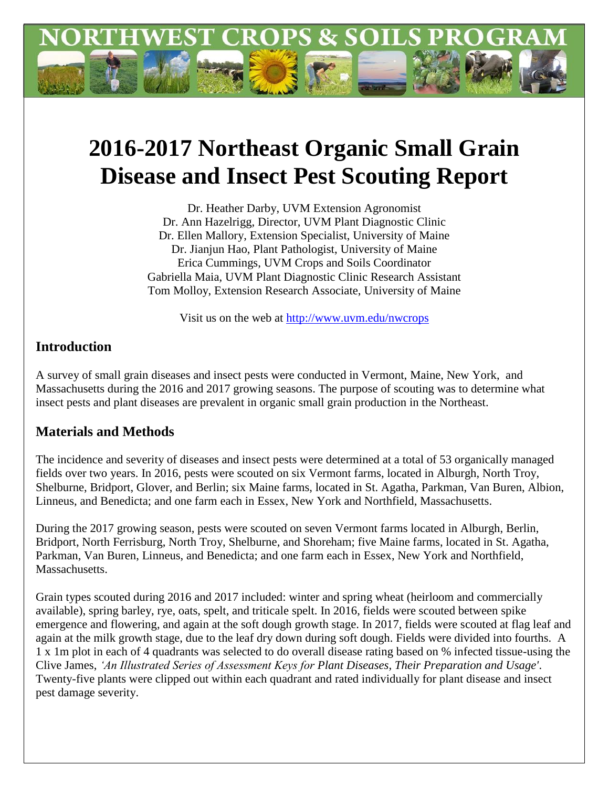

# **2016-2017 Northeast Organic Small Grain Disease and Insect Pest Scouting Report**

Dr. Heather Darby, UVM Extension Agronomist Dr. Ann Hazelrigg, Director, UVM Plant Diagnostic Clinic Dr. Ellen Mallory, Extension Specialist, University of Maine Dr. Jianjun Hao, Plant Pathologist, University of Maine Erica Cummings, UVM Crops and Soils Coordinator Gabriella Maia, UVM Plant Diagnostic Clinic Research Assistant Tom Molloy, Extension Research Associate, University of Maine

Visit us on the web at<http://www.uvm.edu/nwcrops>

## **Introduction**

A survey of small grain diseases and insect pests were conducted in Vermont, Maine, New York, and Massachusetts during the 2016 and 2017 growing seasons. The purpose of scouting was to determine what insect pests and plant diseases are prevalent in organic small grain production in the Northeast.

## **Materials and Methods**

The incidence and severity of diseases and insect pests were determined at a total of 53 organically managed fields over two years. In 2016, pests were scouted on six Vermont farms, located in Alburgh, North Troy, Shelburne, Bridport, Glover, and Berlin; six Maine farms, located in St. Agatha, Parkman, Van Buren, Albion, Linneus, and Benedicta; and one farm each in Essex, New York and Northfield, Massachusetts.

During the 2017 growing season, pests were scouted on seven Vermont farms located in Alburgh, Berlin, Bridport, North Ferrisburg, North Troy, Shelburne, and Shoreham; five Maine farms, located in St. Agatha, Parkman, Van Buren, Linneus, and Benedicta; and one farm each in Essex, New York and Northfield, **Massachusetts**.

Grain types scouted during 2016 and 2017 included: winter and spring wheat (heirloom and commercially available), spring barley, rye, oats, spelt, and triticale spelt. In 2016, fields were scouted between spike emergence and flowering, and again at the soft dough growth stage. In 2017, fields were scouted at flag leaf and again at the milk growth stage, due to the leaf dry down during soft dough. Fields were divided into fourths. A 1 x 1m plot in each of 4 quadrants was selected to do overall disease rating based on % infected tissue-using the Clive James, *'An Illustrated Series of Assessment Keys for Plant Diseases, Their Preparation and Usage'*. Twenty-five plants were clipped out within each quadrant and rated individually for plant disease and insect pest damage severity.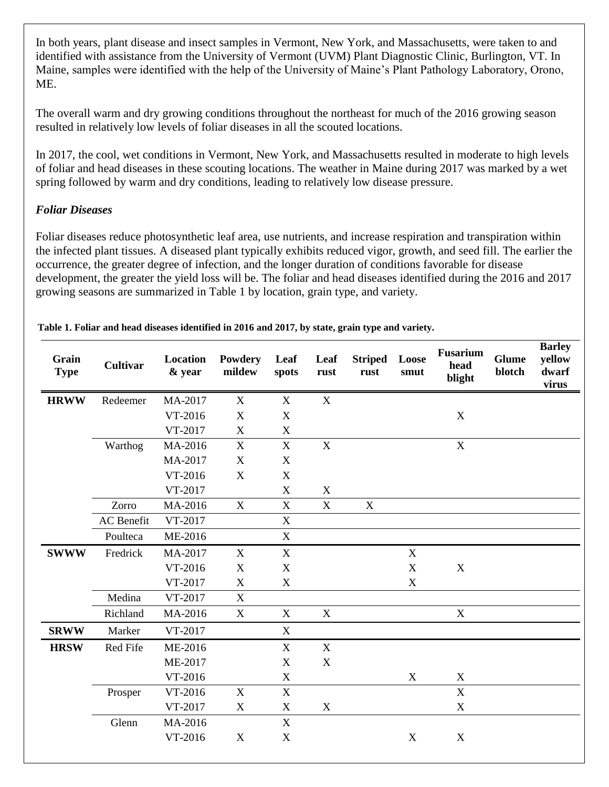In both years, plant disease and insect samples in Vermont, New York, and Massachusetts, were taken to and identified with assistance from the University of Vermont (UVM) Plant Diagnostic Clinic, Burlington, VT. In Maine, samples were identified with the help of the University of Maine's Plant Pathology Laboratory, Orono, ME.

The overall warm and dry growing conditions throughout the northeast for much of the 2016 growing season resulted in relatively low levels of foliar diseases in all the scouted locations.

In 2017, the cool, wet conditions in Vermont, New York, and Massachusetts resulted in moderate to high levels of foliar and head diseases in these scouting locations. The weather in Maine during 2017 was marked by a wet spring followed by warm and dry conditions, leading to relatively low disease pressure.

### *Foliar Diseases*

Foliar diseases reduce photosynthetic leaf area, use nutrients, and increase respiration and transpiration within the infected plant tissues. A diseased plant typically exhibits reduced vigor, growth, and seed fill. The earlier the occurrence, the greater degree of infection, and the longer duration of conditions favorable for disease development, the greater the yield loss will be. The foliar and head diseases identified during the 2016 and 2017 growing seasons are summarized in Table 1 by location, grain type, and variety.

| Grain<br><b>Type</b> | <b>Cultivar</b>   | Location<br>& year | Powdery<br>mildew | Leaf<br>spots             | Leaf<br>rust     | <b>Striped</b><br>rust | Loose<br>smut             | Fusarium<br>head<br>blight | <b>Glume</b><br>blotch | <b>Barley</b><br>yellow<br>dwarf<br>virus |
|----------------------|-------------------|--------------------|-------------------|---------------------------|------------------|------------------------|---------------------------|----------------------------|------------------------|-------------------------------------------|
| <b>HRWW</b>          | Redeemer          | MA-2017            | $\mathbf X$       | X                         | X                |                        |                           |                            |                        |                                           |
|                      |                   | VT-2016            | $\mathbf X$       | $\mathbf X$               |                  |                        |                           | $\boldsymbol{X}$           |                        |                                           |
|                      |                   | VT-2017            | $\mathbf X$       | $\mathbf X$               |                  |                        |                           |                            |                        |                                           |
|                      | Warthog           | MA-2016            | $\mathbf X$       | $\mathbf X$               | $\boldsymbol{X}$ |                        |                           | $\mathbf X$                |                        |                                           |
|                      |                   | MA-2017            | X                 | X                         |                  |                        |                           |                            |                        |                                           |
|                      |                   | VT-2016            | $\mathbf X$       | $\mathbf X$               |                  |                        |                           |                            |                        |                                           |
|                      |                   | VT-2017            |                   | $\mathbf X$               | $\mathbf X$      |                        |                           |                            |                        |                                           |
|                      | Zorro             | MA-2016            | $\mathbf X$       | $\mathbf X$               | $\mathbf X$      | $\mathbf X$            |                           |                            |                        |                                           |
|                      | <b>AC</b> Benefit | VT-2017            |                   | $\mathbf X$               |                  |                        |                           |                            |                        |                                           |
|                      | Poulteca          | ME-2016            |                   | X                         |                  |                        |                           |                            |                        |                                           |
| <b>SWWW</b>          | Fredrick          | MA-2017            | X                 | X                         |                  |                        | $\mathbf X$               |                            |                        |                                           |
|                      |                   | VT-2016            | $\mathbf X$       | $\mathbf X$               |                  |                        | $\mathbf X$               | $\mathbf X$                |                        |                                           |
|                      |                   | VT-2017            | $\mathbf X$       | $\mathbf X$               |                  |                        | $\boldsymbol{\mathrm{X}}$ |                            |                        |                                           |
|                      | Medina            | VT-2017            | X                 |                           |                  |                        |                           |                            |                        |                                           |
|                      | Richland          | MA-2016            | X                 | X                         | $\mathbf X$      |                        |                           | $\mathbf X$                |                        |                                           |
| <b>SRWW</b>          | Marker            | VT-2017            |                   | $\mathbf X$               |                  |                        |                           |                            |                        |                                           |
| <b>HRSW</b>          | Red Fife          | ME-2016            |                   | $\mathbf X$               | X                |                        |                           |                            |                        |                                           |
|                      |                   | ME-2017            |                   | $\mathbf X$               | $\mathbf X$      |                        |                           |                            |                        |                                           |
|                      |                   | VT-2016            |                   | $\mathbf X$               |                  |                        | $\mathbf X$               | $\mathbf X$                |                        |                                           |
|                      | Prosper           | VT-2016            | $\mathbf X$       | $\mathbf X$               |                  |                        |                           | $\mathbf X$                |                        |                                           |
|                      |                   | VT-2017            | $\mathbf X$       | $\mathbf X$               | $\mathbf X$      |                        |                           | $\mathbf X$                |                        |                                           |
|                      | Glenn             | MA-2016            |                   | X                         |                  |                        |                           |                            |                        |                                           |
|                      |                   | VT-2016            | $\mathbf X$       | $\boldsymbol{\mathrm{X}}$ |                  |                        | X                         | $\mathbf X$                |                        |                                           |

**Table 1. Foliar and head diseases identified in 2016 and 2017, by state, grain type and variety.**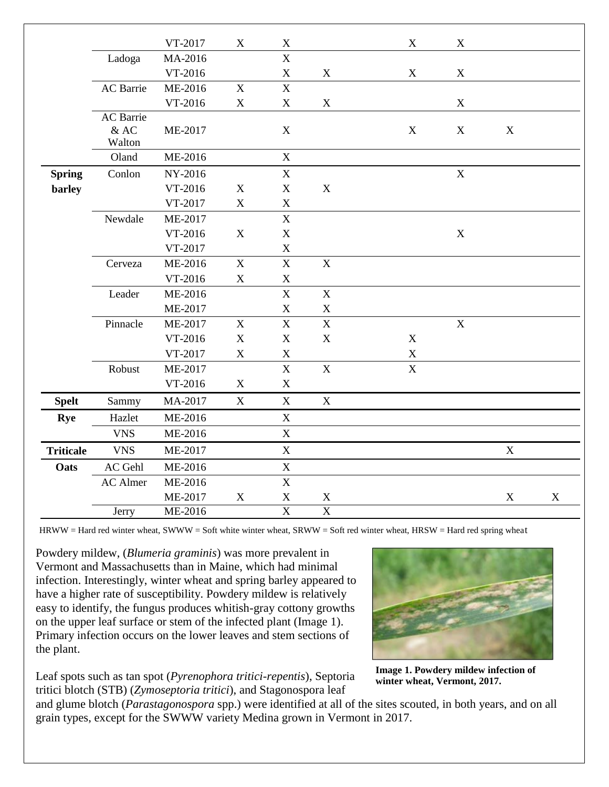|                  |                                      | VT-2017 | $\mathbf X$ | $\mathbf X$             |                | $\boldsymbol{\mathrm{X}}$ | $\mathbf X$ |             |             |
|------------------|--------------------------------------|---------|-------------|-------------------------|----------------|---------------------------|-------------|-------------|-------------|
|                  | Ladoga                               | MA-2016 |             | $\mathbf X$             |                |                           |             |             |             |
|                  |                                      | VT-2016 |             | $\mathbf X$             | $\mathbf X$    | $\mathbf X$               | $\mathbf X$ |             |             |
|                  | AC Barrie                            | ME-2016 | X           | $\mathbf X$             |                |                           |             |             |             |
|                  |                                      | VT-2016 | $\mathbf X$ | $\mathbf X$             | $\mathbf X$    |                           | $\mathbf X$ |             |             |
|                  | <b>AC</b> Barrie<br>$&$ AC<br>Walton | ME-2017 |             | $\mathbf X$             |                | $\mathbf X$               | $\mathbf X$ | $\mathbf X$ |             |
|                  | Oland                                | ME-2016 |             | $\mathbf X$             |                |                           |             |             |             |
| <b>Spring</b>    | Conlon                               | NY-2016 |             | $\mathbf X$             |                |                           | $\mathbf X$ |             |             |
| barley           |                                      | VT-2016 | $\mathbf X$ | $\mathbf X$             | $\mathbf X$    |                           |             |             |             |
|                  |                                      | VT-2017 | $\mathbf X$ | $\mathbf X$             |                |                           |             |             |             |
|                  | Newdale                              | ME-2017 |             | $\mathbf X$             |                |                           |             |             |             |
|                  |                                      | VT-2016 | X           | $\mathbf X$             |                |                           | $\mathbf X$ |             |             |
|                  |                                      | VT-2017 |             | $\mathbf X$             |                |                           |             |             |             |
|                  | Cerveza                              | ME-2016 | $\mathbf X$ | $\mathbf X$             | $\mathbf X$    |                           |             |             |             |
|                  |                                      | VT-2016 | $\mathbf X$ | $\mathbf X$             |                |                           |             |             |             |
|                  | Leader                               | ME-2016 |             | $\mathbf X$             | $\mathbf X$    |                           |             |             |             |
|                  |                                      | ME-2017 |             | $\mathbf X$             | $\mathbf X$    |                           |             |             |             |
|                  | Pinnacle                             | ME-2017 | X           | $\mathbf X$             | $\mathbf X$    |                           | $\mathbf X$ |             |             |
|                  |                                      | VT-2016 | $\mathbf X$ | $\mathbf X$             | $\mathbf X$    | $\mathbf X$               |             |             |             |
|                  |                                      | VT-2017 | $\mathbf X$ | $\mathbf X$             |                | $\mathbf X$               |             |             |             |
|                  | Robust                               | ME-2017 |             | $\mathbf X$             | $\mathbf X$    | $\mathbf X$               |             |             |             |
|                  |                                      | VT-2016 | X           | $\mathbf X$             |                |                           |             |             |             |
| <b>Spelt</b>     | Sammy                                | MA-2017 | $\mathbf X$ | $\mathbf X$             | $\mathbf X$    |                           |             |             |             |
| <b>Rye</b>       | Hazlet                               | ME-2016 |             | $\mathbf X$             |                |                           |             |             |             |
|                  | <b>VNS</b>                           | ME-2016 |             | $\mathbf X$             |                |                           |             |             |             |
| <b>Triticale</b> | <b>VNS</b>                           | ME-2017 |             | $\mathbf X$             |                |                           |             | $\mathbf X$ |             |
| Oats             | AC Gehl                              | ME-2016 |             | $\mathbf X$             |                |                           |             |             |             |
|                  | <b>AC</b> Almer                      | ME-2016 |             | $\mathbf X$             |                |                           |             |             |             |
|                  |                                      | ME-2017 | $\mathbf X$ | $\mathbf X$             | X              |                           |             | X           | $\mathbf X$ |
|                  | Jerry                                | ME-2016 |             | $\overline{\mathbf{X}}$ | $\overline{X}$ |                           |             |             |             |

HRWW = Hard red winter wheat, SWWW = Soft white winter wheat, SRWW = Soft red winter wheat, HRSW = Hard red spring wheat

Powdery mildew, (*Blumeria graminis*) was more prevalent in Vermont and Massachusetts than in Maine, which had minimal infection. Interestingly, winter wheat and spring barley appeared to have a higher rate of susceptibility. Powdery mildew is relatively easy to identify, the fungus produces whitish-gray cottony growths on the upper leaf surface or stem of the infected plant (Image 1). Primary infection occurs on the lower leaves and stem sections of the plant.



**Image 1. Powdery mildew infection of winter wheat, Vermont, 2017.**

Leaf spots such as tan spot (*Pyrenophora tritici-repentis*), Septoria tritici blotch (STB) (*Zymoseptoria tritici*), and Stagonospora leaf

and glume blotch (*Parastagonospora* spp.) were identified at all of the sites scouted, in both years, and on all grain types, except for the SWWW variety Medina grown in Vermont in 2017.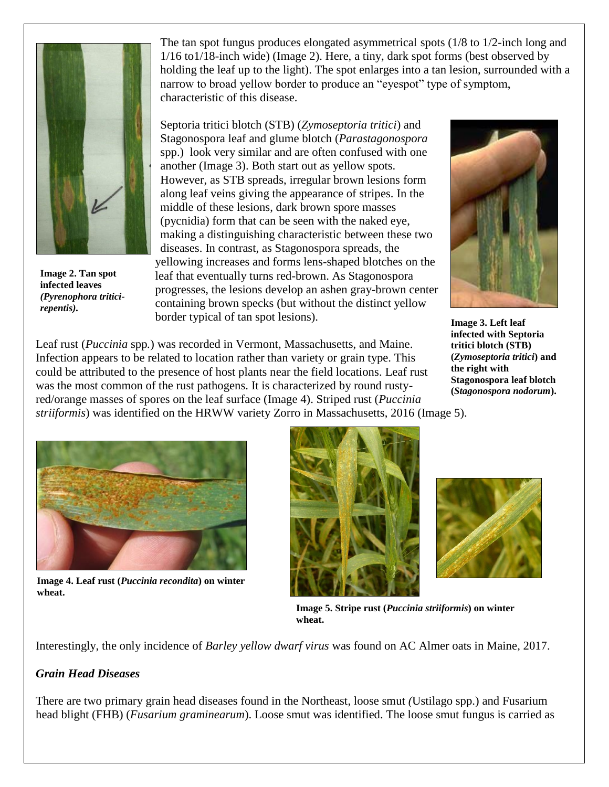

**Image 2. Tan spot infected leaves**  *(Pyrenophora triticirepentis).*

The tan spot fungus produces elongated asymmetrical spots (1/8 to 1/2-inch long and 1/16 to1/18-inch wide) (Image 2). Here, a tiny, dark spot forms (best observed by holding the leaf up to the light). The spot enlarges into a tan lesion, surrounded with a narrow to broad yellow border to produce an "eyespot" type of symptom, characteristic of this disease.

Septoria tritici blotch (STB) (*Zymoseptoria tritici*) and Stagonospora leaf and glume blotch (*Parastagonospora*  spp.) look very similar and are often confused with one another (Image 3). Both start out as yellow spots. However, as STB spreads, irregular brown lesions form along leaf veins giving the appearance of stripes. In the middle of these lesions, dark brown spore masses (pycnidia) form that can be seen with the naked eye, making a distinguishing characteristic between these two diseases. In contrast, as Stagonospora spreads, the yellowing increases and forms lens-shaped blotches on the leaf that eventually turns red-brown. As Stagonospora progresses, the lesions develop an ashen gray-brown center containing brown specks (but without the distinct yellow border typical of tan spot lesions).



**Image 3. Left leaf infected with Septoria tritici blotch (STB) (***Zymoseptoria tritici***) and the right with Stagonospora leaf blotch (***Stagonospora nodorum***).**

Leaf rust (*Puccinia* spp*.*) was recorded in Vermont, Massachusetts, and Maine. Infection appears to be related to location rather than variety or grain type. This could be attributed to the presence of host plants near the field locations. Leaf rust was the most common of the rust pathogens. It is characterized by round rustyred/orange masses of spores on the leaf surface (Image 4). Striped rust (*Puccinia striiformis*) was identified on the HRWW variety Zorro in Massachusetts, 2016 (Image 5).



**Image 4. Leaf rust (***Puccinia recondita***) on winter wheat.**





**Image 5. Stripe rust (***Puccinia striiformis***) on winter wheat.**

Interestingly, the only incidence of *Barley yellow dwarf virus* was found on AC Almer oats in Maine, 2017.

#### *Grain Head Diseases*

There are two primary grain head diseases found in the Northeast, loose smut *(*Ustilago spp.) and Fusarium head blight (FHB) (*Fusarium graminearum*). Loose smut was identified. The loose smut fungus is carried as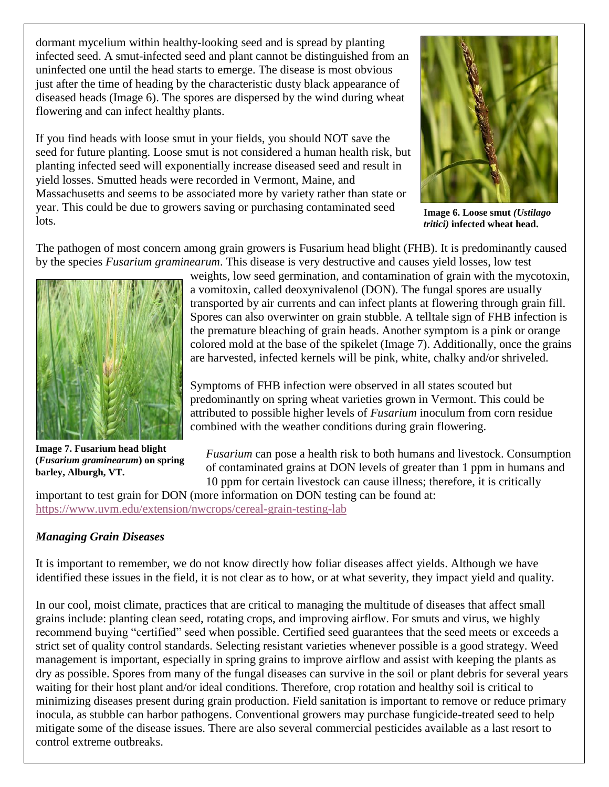dormant mycelium within healthy-looking seed and is spread by planting infected seed. A smut-infected seed and plant cannot be distinguished from an uninfected one until the head starts to emerge. The disease is most obvious just after the time of heading by the characteristic dusty black appearance of diseased heads (Image 6). The spores are dispersed by the wind during wheat flowering and can infect healthy plants.

If you find heads with loose smut in your fields, you should NOT save the seed for future planting. Loose smut is not considered a human health risk, but planting infected seed will exponentially increase diseased seed and result in yield losses. Smutted heads were recorded in Vermont, Maine, and Massachusetts and seems to be associated more by variety rather than state or year. This could be due to growers saving or purchasing contaminated seed lots.



**Image 6. Loose smut** *(Ustilago tritici)* **infected wheat head.**

The pathogen of most concern among grain growers is Fusarium head blight (FHB). It is predominantly caused by the species *Fusarium graminearum*. This disease is very destructive and causes yield losses, low test



**Image 7. Fusarium head blight (***Fusarium graminearum***) on spring barley, Alburgh, VT.**

weights, low seed germination, and contamination of grain with the mycotoxin, a vomitoxin, called deoxynivalenol (DON). The fungal spores are usually transported by air currents and can infect plants at flowering through grain fill. Spores can also overwinter on grain stubble. A telltale sign of FHB infection is the premature bleaching of grain heads. Another symptom is a pink or orange colored mold at the base of the spikelet (Image 7). Additionally, once the grains are harvested, infected kernels will be pink, white, chalky and/or shriveled.

Symptoms of FHB infection were observed in all states scouted but predominantly on spring wheat varieties grown in Vermont. This could be attributed to possible higher levels of *Fusarium* inoculum from corn residue combined with the weather conditions during grain flowering.

*Fusarium* can pose a health risk to both humans and livestock. Consumption of contaminated grains at DON levels of greater than 1 ppm in humans and 10 ppm for certain livestock can cause illness; therefore, it is critically

important to test grain for DON (more information on DON testing can be found at: <https://www.uvm.edu/extension/nwcrops/cereal-grain-testing-lab>

## *Managing Grain Diseases*

It is important to remember, we do not know directly how foliar diseases affect yields. Although we have identified these issues in the field, it is not clear as to how, or at what severity, they impact yield and quality.

In our cool, moist climate, practices that are critical to managing the multitude of diseases that affect small grains include: planting clean seed, rotating crops, and improving airflow. For smuts and virus, we highly recommend buying "certified" seed when possible. Certified seed guarantees that the seed meets or exceeds a strict set of quality control standards. Selecting resistant varieties whenever possible is a good strategy. Weed management is important, especially in spring grains to improve airflow and assist with keeping the plants as dry as possible. Spores from many of the fungal diseases can survive in the soil or plant debris for several years waiting for their host plant and/or ideal conditions. Therefore, crop rotation and healthy soil is critical to minimizing diseases present during grain production. Field sanitation is important to remove or reduce primary inocula, as stubble can harbor pathogens. Conventional growers may purchase fungicide-treated seed to help mitigate some of the disease issues. There are also several commercial pesticides available as a last resort to control extreme outbreaks.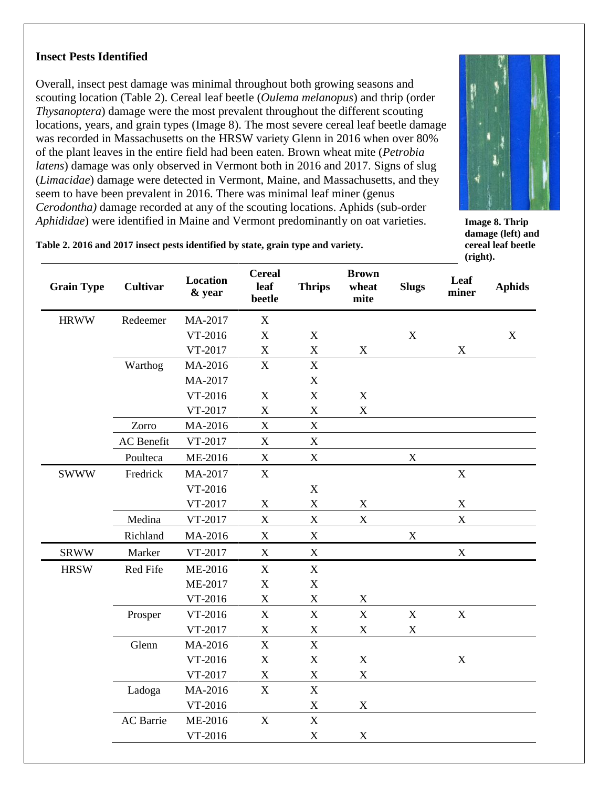#### **Insect Pests Identified**

Overall, insect pest damage was minimal throughout both growing seasons and scouting location (Table 2). Cereal leaf beetle (*Oulema melanopus*) and thrip (order *Thysanoptera*) damage were the most prevalent throughout the different scouting locations, years, and grain types (Image 8). The most severe cereal leaf beetle damage was recorded in Massachusetts on the HRSW variety Glenn in 2016 when over 80% of the plant leaves in the entire field had been eaten. Brown wheat mite (*Petrobia latens*) damage was only observed in Vermont both in 2016 and 2017. Signs of slug (*Limacidae*) damage were detected in Vermont, Maine, and Massachusetts, and they seem to have been prevalent in 2016. There was minimal leaf miner (genus *Cerodontha)* damage recorded at any of the scouting locations. Aphids (sub-order *Aphididae*) were identified in Maine and Vermont predominantly on oat varieties.



**Image 8. Thrip damage (left) and cereal leaf beetle (right).**

#### **Table 2. 2016 and 2017 insect pests identified by state, grain type and variety.**

| <b>Grain Type</b> | <b>Cultivar</b>   | <b>Location</b><br>& year | <b>Cereal</b><br>leaf<br>beetle | <b>Thrips</b>             | <b>Brown</b><br>wheat<br>mite | <b>Slugs</b> | Leaf<br>miner             | <b>Aphids</b> |
|-------------------|-------------------|---------------------------|---------------------------------|---------------------------|-------------------------------|--------------|---------------------------|---------------|
| <b>HRWW</b>       | Redeemer          | MA-2017                   | $\mathbf X$                     |                           |                               |              |                           |               |
|                   |                   | VT-2016                   | $\mathbf X$                     | $\boldsymbol{\mathrm{X}}$ |                               | $\mathbf X$  |                           | X             |
|                   |                   | VT-2017                   | $\mathbf X$                     | $\mathbf X$               | $\mathbf X$                   |              | $\boldsymbol{\mathrm{X}}$ |               |
|                   | Warthog           | MA-2016                   | $\mathbf X$                     | X                         |                               |              |                           |               |
|                   |                   | MA-2017                   |                                 | $\mathbf X$               |                               |              |                           |               |
|                   |                   | VT-2016                   | $\mathbf X$                     | $\mathbf X$               | $\mathbf X$                   |              |                           |               |
|                   |                   | VT-2017                   | $\mathbf X$                     | $\mathbf X$               | $\boldsymbol{\mathrm{X}}$     |              |                           |               |
|                   | Zorro             | MA-2016                   | $\mathbf X$                     | $\mathbf X$               |                               |              |                           |               |
|                   | <b>AC</b> Benefit | VT-2017                   | $\mathbf X$                     | $\mathbf X$               |                               |              |                           |               |
|                   | Poulteca          | ME-2016                   | $\mathbf X$                     | $\mathbf X$               |                               | $\mathbf X$  |                           |               |
| <b>SWWW</b>       | Fredrick          | MA-2017                   | $\mathbf X$                     |                           |                               |              | $\mathbf X$               |               |
|                   |                   | VT-2016                   |                                 | $\mathbf X$               |                               |              |                           |               |
|                   |                   | VT-2017                   | $\mathbf X$                     | $\mathbf X$               | $\mathbf X$                   |              | $\mathbf X$               |               |
|                   | Medina            | VT-2017                   | $\mathbf X$                     | $\mathbf X$               | $\mathbf X$                   |              | $\mathbf X$               |               |
|                   | Richland          | MA-2016                   | $\mathbf X$                     | $\mathbf X$               |                               | $\mathbf X$  |                           |               |
| <b>SRWW</b>       | Marker            | VT-2017                   | $\mathbf X$                     | $\boldsymbol{\mathrm{X}}$ |                               |              | $\mathbf X$               |               |
| <b>HRSW</b>       | Red Fife          | ME-2016                   | $\mathbf X$                     | $\boldsymbol{\mathrm{X}}$ |                               |              |                           |               |
|                   |                   | ME-2017                   | $\mathbf X$                     | $\mathbf X$               |                               |              |                           |               |
|                   |                   | VT-2016                   | $\mathbf X$                     | $\mathbf X$               | $\mathbf X$                   |              |                           |               |
|                   | Prosper           | VT-2016                   | $\mathbf X$                     | $\overline{X}$            | $\overline{X}$                | $\mathbf X$  | $\mathbf X$               |               |
|                   |                   | VT-2017                   | $\mathbf X$                     | $\mathbf X$               | $\mathbf X$                   | $\mathbf X$  |                           |               |
|                   | Glenn             | MA-2016                   | $\mathbf X$                     | X                         |                               |              |                           |               |
|                   |                   | VT-2016                   | $\mathbf X$                     | $\mathbf X$               | $\mathbf X$                   |              | $\mathbf X$               |               |
|                   |                   | VT-2017                   | $\mathbf X$                     | $\mathbf X$               | $\mathbf X$                   |              |                           |               |
|                   | Ladoga            | MA-2016                   | $\mathbf X$                     | X                         |                               |              |                           |               |
|                   |                   | VT-2016                   |                                 | $\mathbf X$               | $\mathbf X$                   |              |                           |               |
|                   | <b>AC</b> Barrie  | ME-2016                   | $\mathbf X$                     | $\mathbf X$               |                               |              |                           |               |
|                   |                   | VT-2016                   |                                 | $\mathbf X$               | $\mathbf X$                   |              |                           |               |